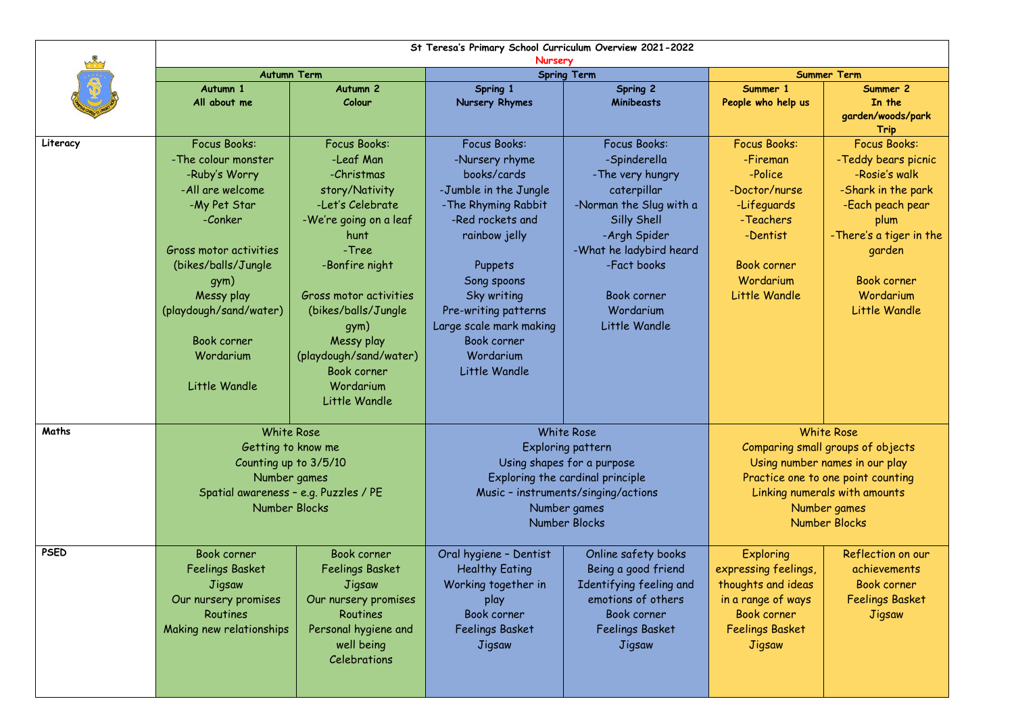|             | St Teresa's Primary School Curriculum Overview 2021-2022                                                                                                                                                                                                        |                                                                                                                                                                                                                                                                                                 |                                                                                                                                                                                                                                                                                           |                                                                                                                                                                                                                         |                                                                                                                                                                                                         |                                                                                                                                                                                                        |  |  |
|-------------|-----------------------------------------------------------------------------------------------------------------------------------------------------------------------------------------------------------------------------------------------------------------|-------------------------------------------------------------------------------------------------------------------------------------------------------------------------------------------------------------------------------------------------------------------------------------------------|-------------------------------------------------------------------------------------------------------------------------------------------------------------------------------------------------------------------------------------------------------------------------------------------|-------------------------------------------------------------------------------------------------------------------------------------------------------------------------------------------------------------------------|---------------------------------------------------------------------------------------------------------------------------------------------------------------------------------------------------------|--------------------------------------------------------------------------------------------------------------------------------------------------------------------------------------------------------|--|--|
|             | <b>Nursery</b>                                                                                                                                                                                                                                                  |                                                                                                                                                                                                                                                                                                 |                                                                                                                                                                                                                                                                                           |                                                                                                                                                                                                                         |                                                                                                                                                                                                         |                                                                                                                                                                                                        |  |  |
|             | <b>Autumn Term</b>                                                                                                                                                                                                                                              |                                                                                                                                                                                                                                                                                                 | <b>Spring Term</b>                                                                                                                                                                                                                                                                        |                                                                                                                                                                                                                         | <b>Summer Term</b>                                                                                                                                                                                      |                                                                                                                                                                                                        |  |  |
|             | Autumn 1<br>All about me                                                                                                                                                                                                                                        | Autumn <sub>2</sub><br>Colour                                                                                                                                                                                                                                                                   | Spring 1<br><b>Nursery Rhymes</b>                                                                                                                                                                                                                                                         | Spring 2<br>Minibeasts                                                                                                                                                                                                  | Summer 1<br>People who help us                                                                                                                                                                          | Summer 2<br>In the<br>garden/woods/park<br><b>Trip</b>                                                                                                                                                 |  |  |
| Literacy    | <b>Focus Books:</b><br>-The colour monster<br>-Ruby's Worry<br>-All are welcome<br>-My Pet Star<br>-Conker<br>Gross motor activities<br>(bikes/balls/Jungle<br>gym)<br>Messy play<br>(playdough/sand/water)<br><b>Book corner</b><br>Wordarium<br>Little Wandle | <b>Focus Books:</b><br>-Leaf Man<br>-Christmas<br>story/Nativity<br>-Let's Celebrate<br>-We're going on a leaf<br>hunt<br>-Tree<br>-Bonfire night<br>Gross motor activities<br>(bikes/balls/Jungle<br>gym)<br>Messy play<br>(playdough/sand/water)<br>Book corner<br>Wordarium<br>Little Wandle | <b>Focus Books:</b><br>-Nursery rhyme<br>books/cards<br>-Jumble in the Jungle<br>-The Rhyming Rabbit<br>-Red rockets and<br>rainbow jelly<br>Puppets<br>Song spoons<br>Sky writing<br>Pre-writing patterns<br>Large scale mark making<br><b>Book corner</b><br>Wordarium<br>Little Wandle | <b>Focus Books:</b><br>-Spinderella<br>-The very hungry<br>caterpillar<br>-Norman the Slug with a<br>Silly Shell<br>-Argh Spider<br>-What he ladybird heard<br>-Fact books<br>Book corner<br>Wordarium<br>Little Wandle | <b>Focus Books:</b><br>-Fireman<br>-Police<br>-Doctor/nurse<br>-Lifeguards<br>-Teachers<br>-Dentist<br><b>Book corner</b><br>Wordarium<br>Little Wandle                                                 | <b>Focus Books:</b><br>-Teddy bears picnic<br>-Rosie's walk<br>-Shark in the park<br>-Each peach pear<br>plum<br>-There's a tiger in the<br>garden<br><b>Book corner</b><br>Wordarium<br>Little Wandle |  |  |
| Maths       | <b>White Rose</b><br>Getting to know me<br>Counting up to 3/5/10<br>Number games<br>Spatial awareness - e.g. Puzzles / PE<br>Number Blocks                                                                                                                      |                                                                                                                                                                                                                                                                                                 | <b>White Rose</b><br>Exploring pattern<br>Using shapes for a purpose<br>Exploring the cardinal principle<br>Music - instruments/singing/actions<br>Number games<br>Number Blocks                                                                                                          |                                                                                                                                                                                                                         | <b>White Rose</b><br>Comparing small groups of objects<br>Using number names in our play<br>Practice one to one point counting<br>Linking numerals with amounts<br>Number games<br><b>Number Blocks</b> |                                                                                                                                                                                                        |  |  |
| <b>PSED</b> | <b>Book corner</b><br><b>Feelings Basket</b><br>Jigsaw<br>Our nursery promises<br>Routines<br>Making new relationships                                                                                                                                          | Book corner<br><b>Feelings Basket</b><br>Jigsaw<br>Our nursery promises<br>Routines<br>Personal hygiene and<br>well being<br>Celebrations                                                                                                                                                       | Oral hygiene - Dentist<br><b>Healthy Eating</b><br>Working together in<br>play<br>Book corner<br>Feelings Basket<br>Jigsaw                                                                                                                                                                | Online safety books<br>Being a good friend<br>Identifying feeling and<br>emotions of others<br>Book corner<br><b>Feelings Basket</b><br>Jigsaw                                                                          | Exploring<br>expressing feelings,<br>thoughts and ideas<br>in a range of ways<br><b>Book corner</b><br><b>Feelings Basket</b><br>Jigsaw                                                                 | Reflection on our<br>achievements<br>Book corner<br><b>Feelings Basket</b><br>Jigsaw                                                                                                                   |  |  |